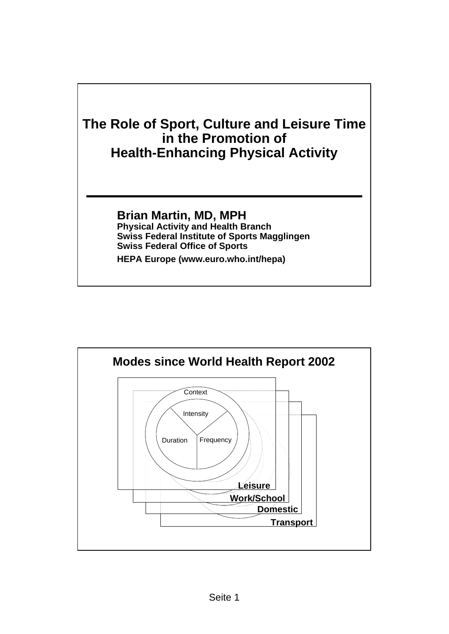

**HEPA Europe (www.euro.who.int/hepa)**

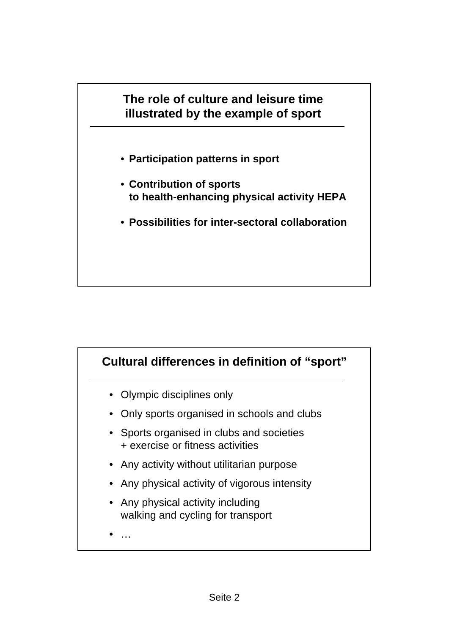

- **Participation patterns in sport**
- **Contribution of sports to health-enhancing physical activity HEPA**
- **Possibilities for inter-sectoral collaboration**

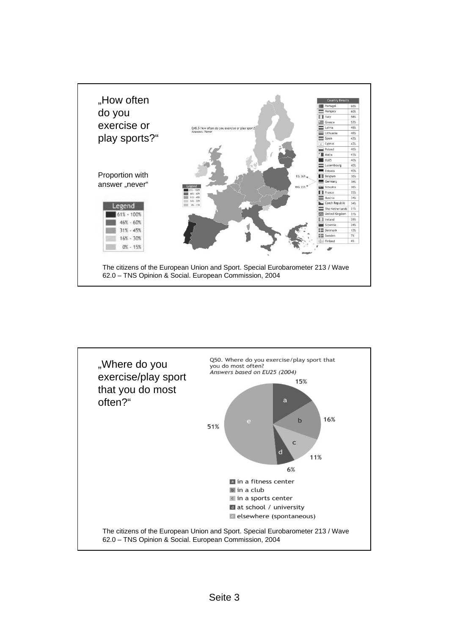

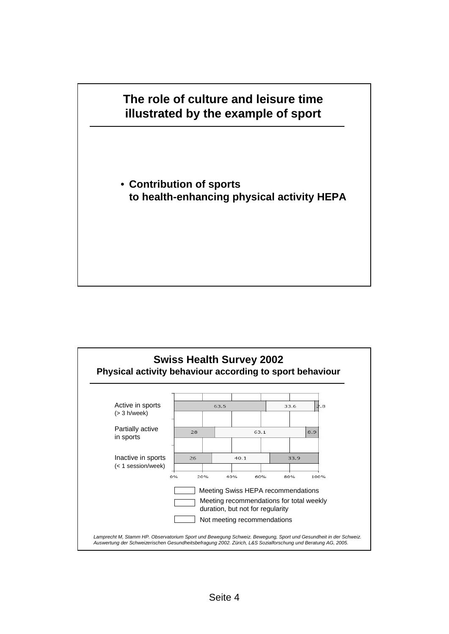## **The role of culture and leisure time illustrated by the example of sport**

• **Contribution of sports to health-enhancing physical activity HEPA**

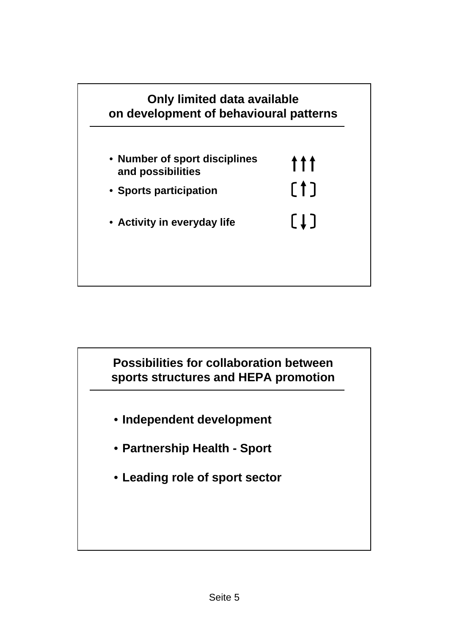

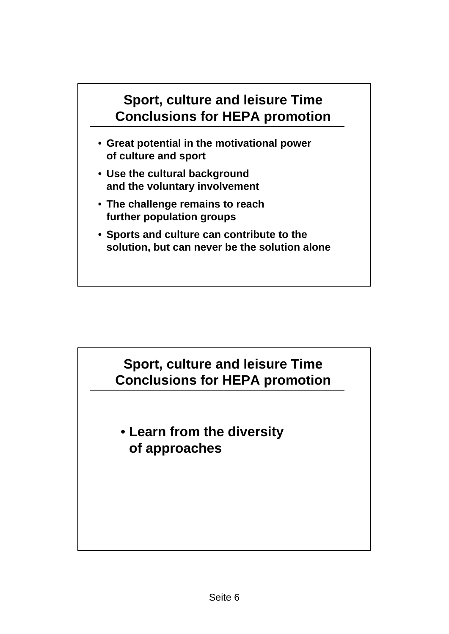## **Sport, culture and leisure Time Conclusions for HEPA promotion**

- **Great potential in the motivational power of culture and sport**
- **Use the cultural background and the voluntary involvement**
- **The challenge remains to reach further population groups**
- **Sports and culture can contribute to the solution, but can never be the solution alone**

## **Sport, culture and leisure Time Conclusions for HEPA promotion**

• **Learn from the diversity of approaches**